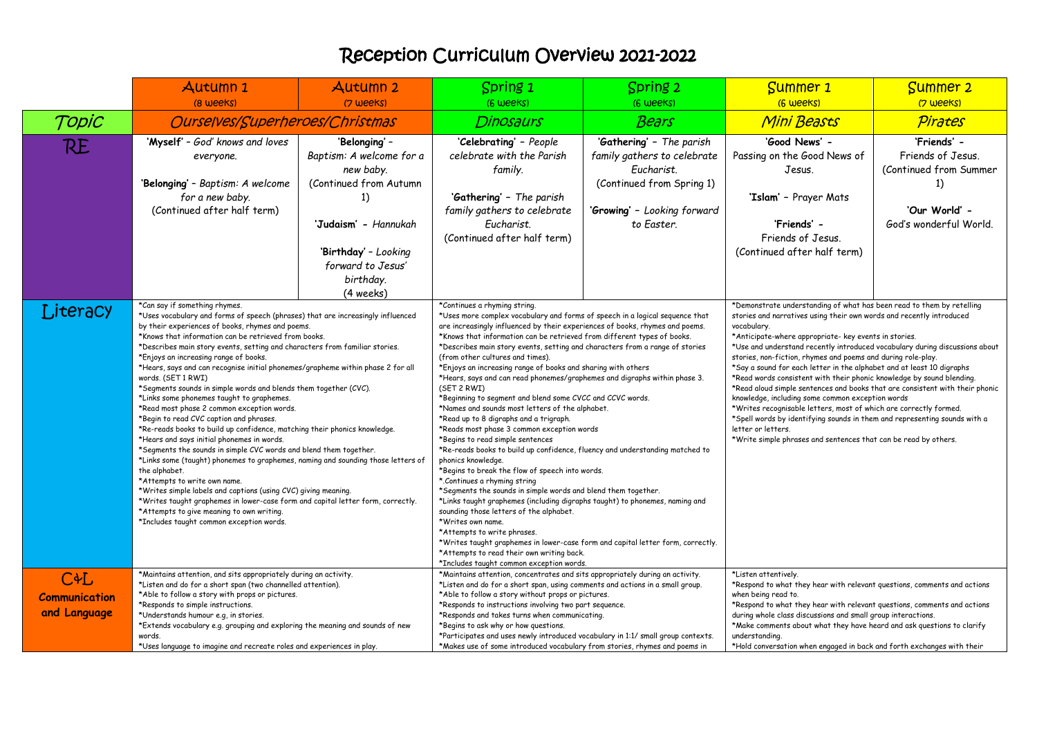## Reception Curriculum Overview 2021-2022

|                      | <b>Autumn 1</b>                                                                                                  | <b>Autumn 2</b>                                                             | Spring 1                                                                                                                 | Spring 2                                                                                                         | Summer 1                                                                                                                                      | <b>Summer 2</b>                                                                                                                             |  |
|----------------------|------------------------------------------------------------------------------------------------------------------|-----------------------------------------------------------------------------|--------------------------------------------------------------------------------------------------------------------------|------------------------------------------------------------------------------------------------------------------|-----------------------------------------------------------------------------------------------------------------------------------------------|---------------------------------------------------------------------------------------------------------------------------------------------|--|
|                      | (8 weeks)                                                                                                        | (7 weeks)                                                                   | (6 weeks)                                                                                                                | (6 weeks)                                                                                                        | (6 weeks)                                                                                                                                     | (7 weeks)                                                                                                                                   |  |
| Topic                | Ourselves/Superheroes/Christmas                                                                                  |                                                                             | <b>Dinosaurs</b>                                                                                                         | <b>Bears</b>                                                                                                     | Mini Beasts                                                                                                                                   | Pirates                                                                                                                                     |  |
| RE                   | 'Myself' - God' knows and loves                                                                                  | 'Belonging' -                                                               | 'Celebrating' - People                                                                                                   | 'Gathering' - The parish                                                                                         | 'Good News' -                                                                                                                                 | 'Friends' -                                                                                                                                 |  |
|                      | everyone.                                                                                                        | Baptism: A welcome for a                                                    | celebrate with the Parish                                                                                                | family gathers to celebrate                                                                                      | Passing on the Good News of                                                                                                                   | Friends of Jesus.                                                                                                                           |  |
|                      |                                                                                                                  | new baby.                                                                   | family.                                                                                                                  | Eucharist.                                                                                                       | Jesus.                                                                                                                                        | (Continued from Summer                                                                                                                      |  |
|                      | 'Belonging' - Baptism: A welcome                                                                                 | (Continued from Autumn                                                      |                                                                                                                          | (Continued from Spring 1)                                                                                        |                                                                                                                                               | 1)                                                                                                                                          |  |
|                      | for a new baby.                                                                                                  | 1)                                                                          | 'Gathering' - The parish                                                                                                 |                                                                                                                  | 'Islam' - Prayer Mats                                                                                                                         |                                                                                                                                             |  |
|                      | (Continued after half term)                                                                                      |                                                                             | family gathers to celebrate                                                                                              | 'Growing' - Looking forward                                                                                      |                                                                                                                                               | 'Our World' -                                                                                                                               |  |
|                      |                                                                                                                  | <b>'Judaism' -</b> Hannukah                                                 | Eucharist.                                                                                                               | to Easter.                                                                                                       | 'Friends' -                                                                                                                                   | God's wonderful World.                                                                                                                      |  |
|                      |                                                                                                                  |                                                                             | (Continued after half term)                                                                                              |                                                                                                                  | Friends of Jesus.                                                                                                                             |                                                                                                                                             |  |
|                      |                                                                                                                  | 'Birthday' - Looking                                                        |                                                                                                                          |                                                                                                                  | (Continued after half term)                                                                                                                   |                                                                                                                                             |  |
|                      |                                                                                                                  | forward to Jesus'                                                           |                                                                                                                          |                                                                                                                  |                                                                                                                                               |                                                                                                                                             |  |
|                      |                                                                                                                  | birthday.                                                                   |                                                                                                                          |                                                                                                                  |                                                                                                                                               |                                                                                                                                             |  |
|                      |                                                                                                                  | (4 weeks)                                                                   |                                                                                                                          |                                                                                                                  |                                                                                                                                               |                                                                                                                                             |  |
| Literacy             | *Can say if something rhymes.<br>*Uses vocabulary and forms of speech (phrases) that are increasingly influenced |                                                                             | *Continues a rhyming string.<br>*Uses more complex vocabulary and forms of speech in a logical sequence that             |                                                                                                                  | *Demonstrate understanding of what has been read to them by retelling<br>stories and narratives using their own words and recently introduced |                                                                                                                                             |  |
|                      | by their experiences of books, rhymes and poems.                                                                 |                                                                             | are increasingly influenced by their experiences of books, rhymes and poems.                                             |                                                                                                                  | vocabulary.                                                                                                                                   |                                                                                                                                             |  |
|                      | *Knows that information can be retrieved from books.                                                             |                                                                             | *Knows that information can be retrieved from different types of books.                                                  |                                                                                                                  | *Anticipate-where appropriate- key events in stories.                                                                                         |                                                                                                                                             |  |
|                      | *Enjoys an increasing range of books.                                                                            | *Describes main story events, setting and characters from familiar stories. |                                                                                                                          | *Describes main story events, setting and characters from a range of stories<br>(from other cultures and times). |                                                                                                                                               | *Use and understand recently introduced vocabulary during discussions about<br>stories, non-fiction, rhymes and poems and during role-play. |  |
|                      | *Hears, says and can recognise initial phonemes/grapheme within phase 2 for all                                  |                                                                             | *Enjoys an increasing range of books and sharing with others                                                             |                                                                                                                  | *Say a sound for each letter in the alphabet and at least 10 digraphs                                                                         |                                                                                                                                             |  |
|                      | words. (SET 1 RWI)                                                                                               |                                                                             | *Hears, says and can read phonemes/graphemes and digraphs within phase 3.                                                |                                                                                                                  | *Read words consistent with their phonic knowledge by sound blending.                                                                         |                                                                                                                                             |  |
|                      | *Segments sounds in simple words and blends them together (CVC).<br>*Links some phonemes taught to graphemes.    |                                                                             | (SET 2 RWI)<br>*Beginning to segment and blend some CVCC and CCVC words.                                                 |                                                                                                                  | *Read aloud simple sentences and books that are consistent with their phonic<br>knowledge, including some common exception words              |                                                                                                                                             |  |
|                      | *Read most phase 2 common exception words.                                                                       |                                                                             | *Names and sounds most letters of the alphabet.                                                                          |                                                                                                                  | *Writes recognisable letters, most of which are correctly formed.                                                                             |                                                                                                                                             |  |
|                      | *Begin to read CVC caption and phrases.                                                                          |                                                                             |                                                                                                                          | *Read up to 8 digraphs and a trigraph.                                                                           |                                                                                                                                               | *Spell words by identifying sounds in them and representing sounds with a                                                                   |  |
|                      | *Hears and says initial phonemes in words.                                                                       | *Re-reads books to build up confidence, matching their phonics knowledge.   |                                                                                                                          | *Reads most phase 3 common exception words<br>*Begins to read simple sentences                                   |                                                                                                                                               | *Write simple phrases and sentences that can be read by others.                                                                             |  |
|                      | *Segments the sounds in simple CVC words and blend them together.                                                |                                                                             | *Re-reads books to build up confidence, fluency and understanding matched to                                             |                                                                                                                  |                                                                                                                                               |                                                                                                                                             |  |
|                      | *Links some (taught) phonemes to graphemes, naming and sounding those letters of                                 |                                                                             | phonics knowledge.                                                                                                       |                                                                                                                  |                                                                                                                                               |                                                                                                                                             |  |
|                      | the alphabet.<br>*Attempts to write own name.                                                                    |                                                                             | *Begins to break the flow of speech into words.<br>*.Continues a rhyming string                                          |                                                                                                                  |                                                                                                                                               |                                                                                                                                             |  |
|                      | *Writes simple labels and captions (using CVC) giving meaning.                                                   |                                                                             | *Segments the sounds in simple words and blend them together.                                                            |                                                                                                                  |                                                                                                                                               |                                                                                                                                             |  |
|                      | *Writes taught graphemes in lower-case form and capital letter form, correctly.                                  |                                                                             | *Links taught graphemes (including digraphs taught) to phonemes, naming and                                              |                                                                                                                  |                                                                                                                                               |                                                                                                                                             |  |
|                      | *Attempts to give meaning to own writing.<br>*Includes taught common exception words.                            |                                                                             | sounding those letters of the alphabet.<br>*Writes own name.                                                             |                                                                                                                  |                                                                                                                                               |                                                                                                                                             |  |
|                      |                                                                                                                  |                                                                             | *Attempts to write phrases.                                                                                              |                                                                                                                  |                                                                                                                                               |                                                                                                                                             |  |
|                      |                                                                                                                  |                                                                             | *Writes taught graphemes in lower-case form and capital letter form, correctly.                                          |                                                                                                                  |                                                                                                                                               |                                                                                                                                             |  |
|                      |                                                                                                                  |                                                                             | *Attempts to read their own writing back.<br>*Includes taught common exception words.                                    |                                                                                                                  |                                                                                                                                               |                                                                                                                                             |  |
| <b>C+L</b>           | *Maintains attention, and sits appropriately during an activity.                                                 |                                                                             | *Maintains attention, concentrates and sits appropriately during an activity.                                            |                                                                                                                  | *Listen attentively.                                                                                                                          |                                                                                                                                             |  |
|                      | *Listen and do for a short span (two channelled attention).<br>*Able to follow a story with props or pictures.   |                                                                             | *Listen and do for a short span, using comments and actions in a small group.                                            |                                                                                                                  | *Respond to what they hear with relevant questions, comments and actions                                                                      |                                                                                                                                             |  |
| <b>Communication</b> | *Responds to simple instructions.                                                                                |                                                                             | *Able to follow a story without props or pictures.<br>*Responds to instructions involving two part sequence.             |                                                                                                                  | when being read to.<br>*Respond to what they hear with relevant questions, comments and actions                                               |                                                                                                                                             |  |
| and Language         | *Understands humour e.g, in stories.                                                                             |                                                                             | *Responds and takes turns when communicating.                                                                            |                                                                                                                  | during whole class discussions and small group interactions.                                                                                  |                                                                                                                                             |  |
|                      | *Extends vocabulary e.g. grouping and exploring the meaning and sounds of new<br>words.                          |                                                                             | *Begins to ask why or how questions.<br>*Participates and uses newly introduced vocabulary in 1:1/ small group contexts. |                                                                                                                  | *Make comments about what they have heard and ask questions to clarify<br>understanding.                                                      |                                                                                                                                             |  |
|                      | *Uses language to imagine and recreate roles and experiences in play.                                            |                                                                             | *Makes use of some introduced vocabulary from stories, rhymes and poems in                                               |                                                                                                                  | *Hold conversation when engaged in back and forth exchanges with their                                                                        |                                                                                                                                             |  |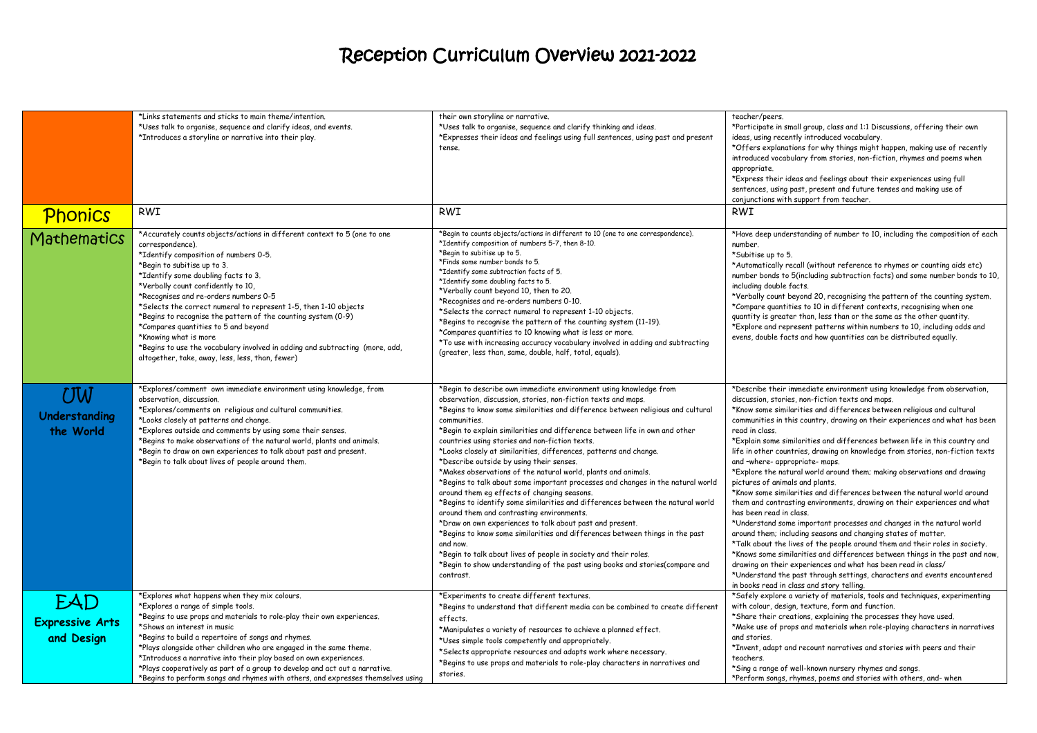## Reception Curriculum Overview 2021-2022

|                                                    | *Links statements and sticks to main theme/intention.<br>*Uses talk to organise, sequence and clarify ideas, and events.<br>*Introduces a storyline or narrative into their play.                                                                                                                                                                                                                                                                                                                                                                                                                                                    | their own storyline or narrative.<br>*Uses talk to organise, sequence and clarify thinking and ideas.<br>*Expresses their ideas and feelings using full sentences, using past and present<br>tense.                                                                                                                                                                                                                                                                                                                                                                                                                                                                                                                                                                                                                                                                                                                                                                                                                                                                                                                                                 | teacher/peers.<br>*Participate in small group, class and 1:1 Discussions, offering their own<br>ideas, using recently introduced vocabulary.<br>*Offers explanations for why things might happen, making use of recently<br>introduced vocabulary from stories, non-fiction, rhymes and poems when<br>appropriate.<br>*Express their ideas and feelings about their experiences using full<br>sentences, using past, present and future tenses and making use of<br>conjunctions with support from teacher.                                                                                                                                                                                                                                                                                                                                                                                                                                                                                                                                                                                                                                                                                                                                                                                                  |
|----------------------------------------------------|--------------------------------------------------------------------------------------------------------------------------------------------------------------------------------------------------------------------------------------------------------------------------------------------------------------------------------------------------------------------------------------------------------------------------------------------------------------------------------------------------------------------------------------------------------------------------------------------------------------------------------------|-----------------------------------------------------------------------------------------------------------------------------------------------------------------------------------------------------------------------------------------------------------------------------------------------------------------------------------------------------------------------------------------------------------------------------------------------------------------------------------------------------------------------------------------------------------------------------------------------------------------------------------------------------------------------------------------------------------------------------------------------------------------------------------------------------------------------------------------------------------------------------------------------------------------------------------------------------------------------------------------------------------------------------------------------------------------------------------------------------------------------------------------------------|--------------------------------------------------------------------------------------------------------------------------------------------------------------------------------------------------------------------------------------------------------------------------------------------------------------------------------------------------------------------------------------------------------------------------------------------------------------------------------------------------------------------------------------------------------------------------------------------------------------------------------------------------------------------------------------------------------------------------------------------------------------------------------------------------------------------------------------------------------------------------------------------------------------------------------------------------------------------------------------------------------------------------------------------------------------------------------------------------------------------------------------------------------------------------------------------------------------------------------------------------------------------------------------------------------------|
| <b>Phonics</b>                                     | <b>RWI</b>                                                                                                                                                                                                                                                                                                                                                                                                                                                                                                                                                                                                                           | <b>RWI</b>                                                                                                                                                                                                                                                                                                                                                                                                                                                                                                                                                                                                                                                                                                                                                                                                                                                                                                                                                                                                                                                                                                                                          | <b>RWI</b>                                                                                                                                                                                                                                                                                                                                                                                                                                                                                                                                                                                                                                                                                                                                                                                                                                                                                                                                                                                                                                                                                                                                                                                                                                                                                                   |
| Mathematics                                        | *Accurately counts objects/actions in different context to 5 (one to one<br>correspondence).<br>*Identify composition of numbers 0-5.<br>*Begin to subitise up to 3.<br>*Identify some doubling facts to 3.<br>*Verbally count confidently to 10.<br>*Recognises and re-orders numbers 0-5<br>*Selects the correct numeral to represent 1-5, then 1-10 objects<br>*Begins to recognise the pattern of the counting system (0-9)<br>*Compares quantities to 5 and beyond<br>*Knowing what is more<br>*Begins to use the vocabulary involved in adding and subtracting (more, add,<br>altogether, take, away, less, less, than, fewer) | *Begin to counts objects/actions in different to 10 (one to one correspondence).<br>*Identify composition of numbers 5-7, then 8-10.<br>*Begin to subitise up to 5.<br>*Finds some number bonds to 5.<br>*Identify some subtraction facts of 5.<br>*Identify some doubling facts to 5.<br>*Verbally count beyond 10, then to 20.<br>*Recognises and re-orders numbers 0-10.<br>*Selects the correct numeral to represent 1-10 objects.<br>*Begins to recognise the pattern of the counting system (11-19).<br>*Compares quantities to 10 knowing what is less or more.<br>*To use with increasing accuracy vocabulary involved in adding and subtracting<br>(greater, less than, same, double, half, total, equals).                                                                                                                                                                                                                                                                                                                                                                                                                                | *Have deep understanding of number to 10, including the composition of each<br>number.<br>*Subitise up to 5.<br>*Automatically recall (without reference to rhymes or counting aids etc)<br>number bonds to 5(including subtraction facts) and some number bonds to 10,<br>including double facts.<br>*Verbally count beyond 20, recognising the pattern of the counting system.<br>*Compare quantities to 10 in different contexts, recognising when one<br>quantity is greater than, less than or the same as the other quantity.<br>*Explore and represent patterns within numbers to 10, including odds and<br>evens, double facts and how quantities can be distributed equally.                                                                                                                                                                                                                                                                                                                                                                                                                                                                                                                                                                                                                        |
| UW<br>Understanding<br>the World                   | *Explores/comment own immediate environment using knowledge, from<br>observation, discussion.<br>*Explores/comments on religious and cultural communities.<br>*Looks closely at patterns and change.<br>*Explores outside and comments by using some their senses.<br>*Begins to make observations of the natural world, plants and animals.<br>*Begin to draw on own experiences to talk about past and present.<br>*Begin to talk about lives of people around them.                                                                                                                                                               | *Begin to describe own immediate environment using knowledge from<br>observation, discussion, stories, non-fiction texts and maps.<br>*Begins to know some similarities and difference between religious and cultural<br>communities.<br>*Begin to explain similarities and difference between life in own and other<br>countries using stories and non-fiction texts.<br>*Looks closely at similarities, differences, patterns and change.<br>*Describe outside by using their senses.<br>*Makes observations of the natural world, plants and animals,<br>*Begins to talk about some important processes and changes in the natural world<br>around them eq effects of changing seasons.<br>*Begins to identify some similarities and differences between the natural world<br>around them and contrasting environments.<br>*Draw on own experiences to talk about past and present.<br>*Begins to know some similarities and differences between things in the past<br>and now.<br>*Begin to talk about lives of people in society and their roles.<br>*Begin to show understanding of the past using books and stories(compare and<br>contrast. | *Describe their immediate environment using knowledge from observation,<br>discussion, stories, non-fiction texts and maps.<br>*Know some similarities and differences between religious and cultural<br>communities in this country, drawing on their experiences and what has been<br>read in class.<br>*Explain some similarities and differences between life in this country and<br>life in other countries, drawing on knowledge from stories, non-fiction texts<br>and -where- appropriate- maps.<br>*Explore the natural world around them; making observations and drawing<br>pictures of animals and plants.<br>*Know some similarities and differences between the natural world around<br>them and contrasting environments, drawing on their experiences and what<br>has been read in class.<br>*Understand some important processes and changes in the natural world<br>around them; including seasons and changing states of matter.<br>*Talk about the lives of the people around them and their roles in society.<br>*Knows some similarities and differences between things in the past and now,<br>drawing on their experiences and what has been read in class/<br>*Understand the past through settings, characters and events encountered<br>in books read in class and story telling. |
| <b>EAD</b><br><b>Expressive Arts</b><br>and Design | *Explores what happens when they mix colours.<br>*Explores a range of simple tools.<br>*Begins to use props and materials to role-play their own experiences.<br>*Shows an interest in music<br>*Begins to build a repertoire of songs and rhymes.<br>*Plays alongside other children who are engaged in the same theme.<br>*Introduces a narrative into their play based on own experiences.<br>*Plays cooperatively as part of a group to develop and act out a narrative.<br>*Begins to perform songs and rhymes with others, and expresses themselves using                                                                      | *Experiments to create different textures.<br>*Begins to understand that different media can be combined to create different<br>effects.<br>*Manipulates a variety of resources to achieve a planned effect.<br>*Uses simple tools competently and appropriately.<br>*Selects appropriate resources and adapts work where necessary.<br>*Begins to use props and materials to role-play characters in narratives and<br>stories.                                                                                                                                                                                                                                                                                                                                                                                                                                                                                                                                                                                                                                                                                                                    | *Safely explore a variety of materials, tools and techniques, experimenting<br>with colour, design, texture, form and function.<br>*Share their creations, explaining the processes they have used.<br>*Make use of props and materials when role-playing characters in narratives<br>and stories.<br>*Invent, adapt and recount narratives and stories with peers and their<br>teachers.<br>*Sing a range of well-known nursery rhymes and songs.<br>*Perform songs, rhymes, poems and stories with others, and-when                                                                                                                                                                                                                                                                                                                                                                                                                                                                                                                                                                                                                                                                                                                                                                                        |